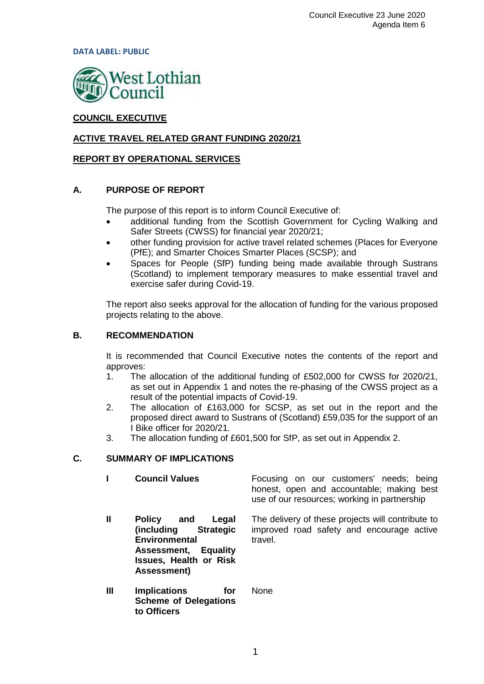**DATA LABEL: PUBLIC**



# **COUNCIL EXECUTIVE**

# **ACTIVE TRAVEL RELATED GRANT FUNDING 2020/21**

## **REPORT BY OPERATIONAL SERVICES**

## **A. PURPOSE OF REPORT**

The purpose of this report is to inform Council Executive of:

- additional funding from the Scottish Government for Cycling Walking and Safer Streets (CWSS) for financial year 2020/21;
- other funding provision for active travel related schemes (Places for Everyone (PfE); and Smarter Choices Smarter Places (SCSP); and
- Spaces for People (SfP) funding being made available through Sustrans (Scotland) to implement temporary measures to make essential travel and exercise safer during Covid-19.

The report also seeks approval for the allocation of funding for the various proposed projects relating to the above.

## **B. RECOMMENDATION**

It is recommended that Council Executive notes the contents of the report and approves:

- 1. The allocation of the additional funding of £502,000 for CWSS for 2020/21, as set out in Appendix 1 and notes the re-phasing of the CWSS project as a result of the potential impacts of Covid-19.
- 2. The allocation of £163,000 for SCSP, as set out in the report and the proposed direct award to Sustrans of (Scotland) £59,035 for the support of an I Bike officer for 2020/21.
- 3. The allocation funding of £601,500 for SfP, as set out in Appendix 2.

## **C. SUMMARY OF IMPLICATIONS**

**to Officers**

**I Council Values Focusing on our customers' needs; being** honest, open and accountable; making best use of our resources; working in partnership **II Policy and Legal Strategic Environmental Assessment, Equality Issues, Health or Risk Assessment)** The delivery of these projects will contribute to improved road safety and encourage active travel. **III Implications for Scheme of Delegations**  None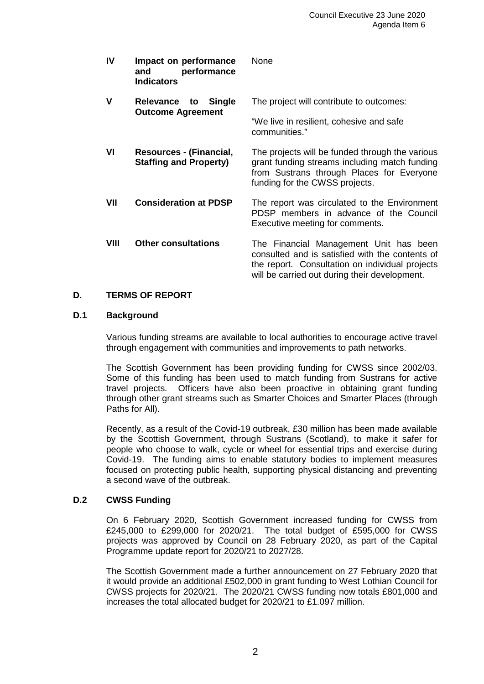| <b>IV</b> | Impact on performance<br>performance<br>and<br><b>Indicators</b> | None                                                                                                                                                                                          |
|-----------|------------------------------------------------------------------|-----------------------------------------------------------------------------------------------------------------------------------------------------------------------------------------------|
| v         | Relevance<br><b>Single</b><br>to<br><b>Outcome Agreement</b>     | The project will contribute to outcomes:                                                                                                                                                      |
|           |                                                                  | "We live in resilient, cohesive and safe<br>communities."                                                                                                                                     |
| VI        | Resources - (Financial,<br><b>Staffing and Property)</b>         | The projects will be funded through the various<br>grant funding streams including match funding<br>from Sustrans through Places for Everyone<br>funding for the CWSS projects.               |
| VII       | <b>Consideration at PDSP</b>                                     | The report was circulated to the Environment<br>PDSP members in advance of the Council<br>Executive meeting for comments.                                                                     |
| VIII      | <b>Other consultations</b>                                       | The Financial Management Unit has been<br>consulted and is satisfied with the contents of<br>the report. Consultation on individual projects<br>will be carried out during their development. |

# **D. TERMS OF REPORT**

## **D.1 Background**

Various funding streams are available to local authorities to encourage active travel through engagement with communities and improvements to path networks.

The Scottish Government has been providing funding for CWSS since 2002/03. Some of this funding has been used to match funding from Sustrans for active travel projects. Officers have also been proactive in obtaining grant funding through other grant streams such as Smarter Choices and Smarter Places (through Paths for All).

Recently, as a result of the Covid-19 outbreak, £30 million has been made available by the Scottish Government, through Sustrans (Scotland), to make it safer for people who choose to walk, cycle or wheel for essential trips and exercise during Covid-19. The funding aims to enable statutory bodies to implement measures focused on protecting public health, supporting physical distancing and preventing a second wave of the outbreak.

# **D.2 CWSS Funding**

On 6 February 2020, Scottish Government increased funding for CWSS from £245,000 to £299,000 for 2020/21. The total budget of £595,000 for CWSS projects was approved by Council on 28 February 2020, as part of the Capital Programme update report for 2020/21 to 2027/28.

The Scottish Government made a further announcement on 27 February 2020 that it would provide an additional £502,000 in grant funding to West Lothian Council for CWSS projects for 2020/21. The 2020/21 CWSS funding now totals £801,000 and increases the total allocated budget for 2020/21 to £1.097 million.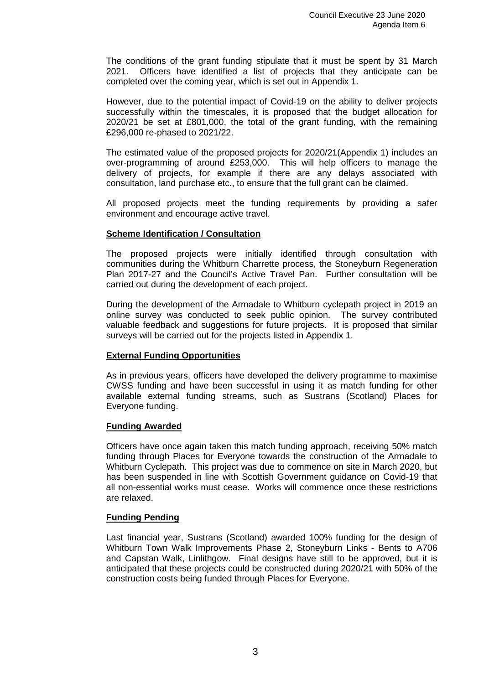The conditions of the grant funding stipulate that it must be spent by 31 March 2021. Officers have identified a list of projects that they anticipate can be completed over the coming year, which is set out in Appendix 1.

However, due to the potential impact of Covid-19 on the ability to deliver projects successfully within the timescales, it is proposed that the budget allocation for 2020/21 be set at £801,000, the total of the grant funding, with the remaining £296,000 re-phased to 2021/22.

The estimated value of the proposed projects for 2020/21(Appendix 1) includes an over-programming of around £253,000. This will help officers to manage the delivery of projects, for example if there are any delays associated with consultation, land purchase etc., to ensure that the full grant can be claimed.

All proposed projects meet the funding requirements by providing a safer environment and encourage active travel.

## **Scheme Identification / Consultation**

The proposed projects were initially identified through consultation with communities during the Whitburn Charrette process, the Stoneyburn Regeneration Plan 2017-27 and the Council's Active Travel Pan. Further consultation will be carried out during the development of each project.

During the development of the Armadale to Whitburn cyclepath project in 2019 an online survey was conducted to seek public opinion. The survey contributed valuable feedback and suggestions for future projects. It is proposed that similar surveys will be carried out for the projects listed in Appendix 1.

## **External Funding Opportunities**

As in previous years, officers have developed the delivery programme to maximise CWSS funding and have been successful in using it as match funding for other available external funding streams, such as Sustrans (Scotland) Places for Everyone funding.

#### **Funding Awarded**

Officers have once again taken this match funding approach, receiving 50% match funding through Places for Everyone towards the construction of the Armadale to Whitburn Cyclepath. This project was due to commence on site in March 2020, but has been suspended in line with Scottish Government guidance on Covid-19 that all non-essential works must cease. Works will commence once these restrictions are relaxed.

#### **Funding Pending**

Last financial year, Sustrans (Scotland) awarded 100% funding for the design of Whitburn Town Walk Improvements Phase 2, Stoneyburn Links - Bents to A706 and Capstan Walk, Linlithgow. Final designs have still to be approved, but it is anticipated that these projects could be constructed during 2020/21 with 50% of the construction costs being funded through Places for Everyone.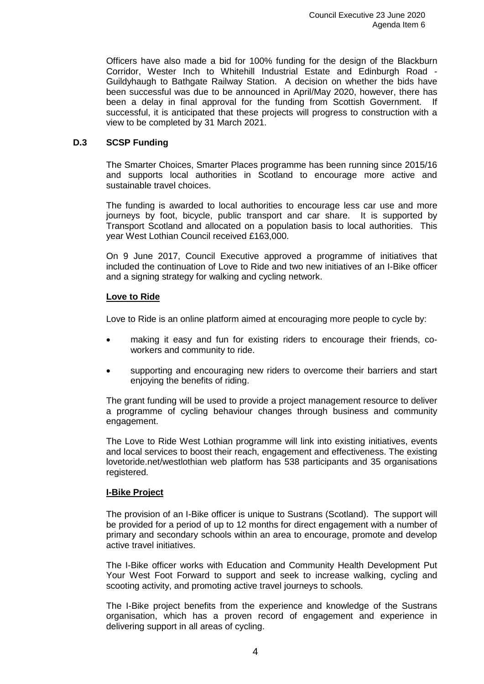Officers have also made a bid for 100% funding for the design of the Blackburn Corridor, Wester Inch to Whitehill Industrial Estate and Edinburgh Road - Guildyhaugh to Bathgate Railway Station. A decision on whether the bids have been successful was due to be announced in April/May 2020, however, there has been a delay in final approval for the funding from Scottish Government. If successful, it is anticipated that these projects will progress to construction with a view to be completed by 31 March 2021.

## **D.3 SCSP Funding**

The Smarter Choices, Smarter Places programme has been running since 2015/16 and supports local authorities in Scotland to encourage more active and sustainable travel choices.

The funding is awarded to local authorities to encourage less car use and more journeys by foot, bicycle, public transport and car share. It is supported by Transport Scotland and allocated on a population basis to local authorities. This year West Lothian Council received £163,000.

On 9 June 2017, Council Executive approved a programme of initiatives that included the continuation of Love to Ride and two new initiatives of an I-Bike officer and a signing strategy for walking and cycling network.

## **Love to Ride**

Love to Ride is an online platform aimed at encouraging more people to cycle by:

- making it easy and fun for existing riders to encourage their friends, coworkers and community to ride.
- supporting and encouraging new riders to overcome their barriers and start enjoying the benefits of riding.

The grant funding will be used to provide a project management resource to deliver a programme of cycling behaviour changes through business and community engagement.

The Love to Ride West Lothian programme will link into existing initiatives, events and local services to boost their reach, engagement and effectiveness. The existing lovetoride.net/westlothian web platform has 538 participants and 35 organisations registered.

## **I-Bike Project**

The provision of an I-Bike officer is unique to Sustrans (Scotland). The support will be provided for a period of up to 12 months for direct engagement with a number of primary and secondary schools within an area to encourage, promote and develop active travel initiatives.

The I-Bike officer works with Education and Community Health Development Put Your West Foot Forward to support and seek to increase walking, cycling and scooting activity, and promoting active travel journeys to schools.

The I-Bike project benefits from the experience and knowledge of the Sustrans organisation, which has a proven record of engagement and experience in delivering support in all areas of cycling.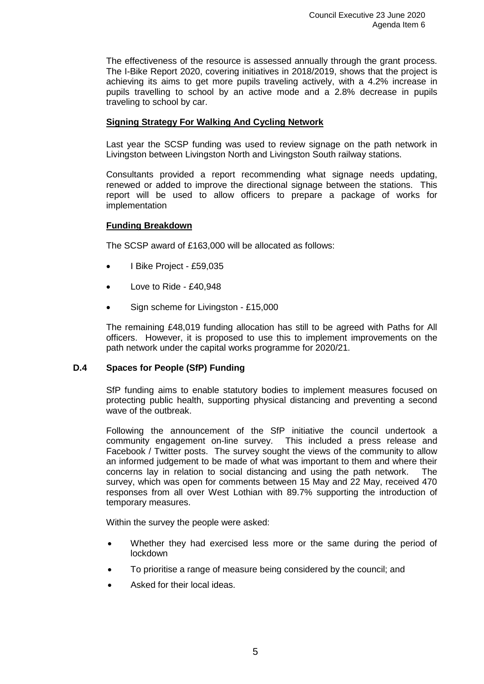The effectiveness of the resource is assessed annually through the grant process. The I-Bike Report 2020, covering initiatives in 2018/2019, shows that the project is achieving its aims to get more pupils traveling actively, with a 4.2% increase in pupils travelling to school by an active mode and a 2.8% decrease in pupils traveling to school by car.

## **Signing Strategy For Walking And Cycling Network**

Last year the SCSP funding was used to review signage on the path network in Livingston between Livingston North and Livingston South railway stations.

Consultants provided a report recommending what signage needs updating, renewed or added to improve the directional signage between the stations. This report will be used to allow officers to prepare a package of works for implementation

## **Funding Breakdown**

The SCSP award of £163,000 will be allocated as follows:

- I Bike Project £59,035
- Love to Ride £40,948
- Sign scheme for Livingston £15,000

The remaining £48,019 funding allocation has still to be agreed with Paths for All officers. However, it is proposed to use this to implement improvements on the path network under the capital works programme for 2020/21.

## **D.4 Spaces for People (SfP) Funding**

SfP funding aims to enable statutory bodies to implement measures focused on protecting public health, supporting physical distancing and preventing a second wave of the outbreak.

Following the announcement of the SfP initiative the council undertook a community engagement on-line survey. This included a press release and Facebook / Twitter posts. The survey sought the views of the community to allow an informed judgement to be made of what was important to them and where their concerns lay in relation to social distancing and using the path network. The survey, which was open for comments between 15 May and 22 May, received 470 responses from all over West Lothian with 89.7% supporting the introduction of temporary measures.

Within the survey the people were asked:

- Whether they had exercised less more or the same during the period of lockdown
- To prioritise a range of measure being considered by the council; and
- Asked for their local ideas.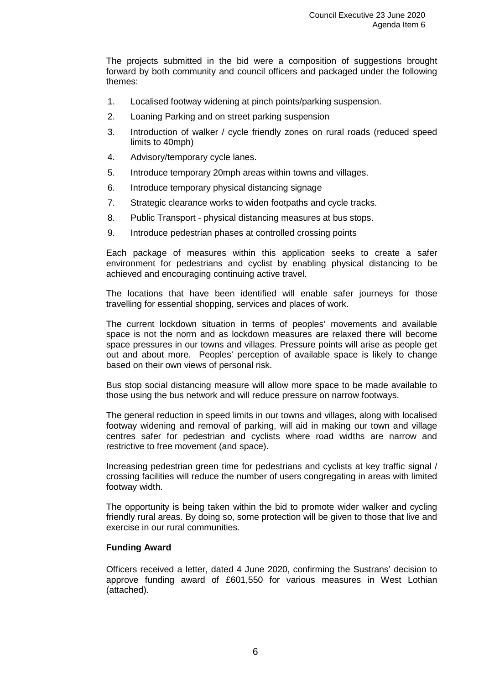The projects submitted in the bid were a composition of suggestions brought forward by both community and council officers and packaged under the following themes:

- 1. Localised footway widening at pinch points/parking suspension.
- 2. Loaning Parking and on street parking suspension
- 3. Introduction of walker / cycle friendly zones on rural roads (reduced speed limits to 40mph)
- 4. Advisory/temporary cycle lanes.
- 5. Introduce temporary 20mph areas within towns and villages.
- 6. Introduce temporary physical distancing signage
- 7. Strategic clearance works to widen footpaths and cycle tracks.
- 8. Public Transport physical distancing measures at bus stops.
- 9. Introduce pedestrian phases at controlled crossing points

Each package of measures within this application seeks to create a safer environment for pedestrians and cyclist by enabling physical distancing to be achieved and encouraging continuing active travel.

The locations that have been identified will enable safer journeys for those travelling for essential shopping, services and places of work.

The current lockdown situation in terms of peoples' movements and available space is not the norm and as lockdown measures are relaxed there will become space pressures in our towns and villages. Pressure points will arise as people get out and about more. Peoples' perception of available space is likely to change based on their own views of personal risk.

Bus stop social distancing measure will allow more space to be made available to those using the bus network and will reduce pressure on narrow footways.

The general reduction in speed limits in our towns and villages, along with localised footway widening and removal of parking, will aid in making our town and village centres safer for pedestrian and cyclists where road widths are narrow and restrictive to free movement (and space).

Increasing pedestrian green time for pedestrians and cyclists at key traffic signal / crossing facilities will reduce the number of users congregating in areas with limited footway width.

The opportunity is being taken within the bid to promote wider walker and cycling friendly rural areas. By doing so, some protection will be given to those that live and exercise in our rural communities.

## **Funding Award**

Officers received a letter, dated 4 June 2020, confirming the Sustrans' decision to approve funding award of £601,550 for various measures in West Lothian (attached).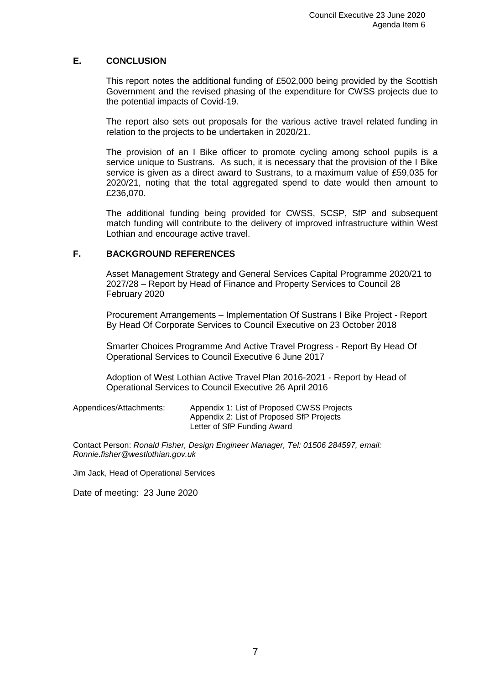# **E. CONCLUSION**

This report notes the additional funding of £502,000 being provided by the Scottish Government and the revised phasing of the expenditure for CWSS projects due to the potential impacts of Covid-19.

The report also sets out proposals for the various active travel related funding in relation to the projects to be undertaken in 2020/21.

The provision of an I Bike officer to promote cycling among school pupils is a service unique to Sustrans. As such, it is necessary that the provision of the I Bike service is given as a direct award to Sustrans, to a maximum value of £59,035 for 2020/21, noting that the total aggregated spend to date would then amount to £236,070.

The additional funding being provided for CWSS, SCSP, SfP and subsequent match funding will contribute to the delivery of improved infrastructure within West Lothian and encourage active travel.

# **F. BACKGROUND REFERENCES**

Asset Management Strategy and General Services Capital Programme 2020/21 to 2027/28 – Report by Head of Finance and Property Services to Council 28 February 2020

Procurement Arrangements – Implementation Of Sustrans I Bike Project - Report By Head Of Corporate Services to Council Executive on 23 October 2018

Smarter Choices Programme And Active Travel Progress - Report By Head Of Operational Services to Council Executive 6 June 2017

Adoption of West Lothian Active Travel Plan 2016-2021 - Report by Head of Operational Services to Council Executive 26 April 2016

| Appendices/Attachments: | Appendix 1: List of Proposed CWSS Projects |
|-------------------------|--------------------------------------------|
|                         | Appendix 2: List of Proposed SfP Projects  |
|                         | Letter of SfP Funding Award                |

Contact Person: *Ronald Fisher, Design Engineer Manager, Tel: 01506 284597, email: Ronnie.fisher@westlothian.gov.uk*

Jim Jack, Head of Operational Services

Date of meeting: 23 June 2020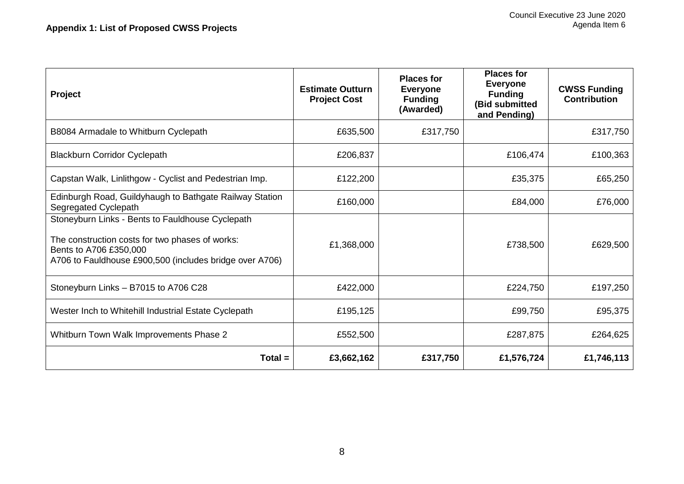| <b>Project</b>                                                                                                                                                                           | <b>Estimate Outturn</b><br><b>Project Cost</b> | <b>Places for</b><br><b>Everyone</b><br><b>Funding</b><br>(Awarded) | <b>Places for</b><br><b>Everyone</b><br><b>Funding</b><br>(Bid submitted<br>and Pending) | <b>CWSS Funding</b><br><b>Contribution</b> |
|------------------------------------------------------------------------------------------------------------------------------------------------------------------------------------------|------------------------------------------------|---------------------------------------------------------------------|------------------------------------------------------------------------------------------|--------------------------------------------|
| B8084 Armadale to Whitburn Cyclepath                                                                                                                                                     | £635,500                                       | £317,750                                                            |                                                                                          | £317,750                                   |
| <b>Blackburn Corridor Cyclepath</b>                                                                                                                                                      | £206,837                                       |                                                                     | £106,474                                                                                 | £100,363                                   |
| Capstan Walk, Linlithgow - Cyclist and Pedestrian Imp.                                                                                                                                   | £122,200                                       |                                                                     | £35,375                                                                                  | £65,250                                    |
| Edinburgh Road, Guildyhaugh to Bathgate Railway Station<br>Segregated Cyclepath                                                                                                          | £160,000                                       |                                                                     | £84,000                                                                                  | £76,000                                    |
| Stoneyburn Links - Bents to Fauldhouse Cyclepath<br>The construction costs for two phases of works:<br>Bents to A706 £350,000<br>A706 to Fauldhouse £900,500 (includes bridge over A706) | £1,368,000                                     |                                                                     | £738,500                                                                                 | £629,500                                   |
| Stoneyburn Links - B7015 to A706 C28                                                                                                                                                     | £422,000                                       |                                                                     | £224,750                                                                                 | £197,250                                   |
| Wester Inch to Whitehill Industrial Estate Cyclepath                                                                                                                                     | £195,125                                       |                                                                     | £99,750                                                                                  | £95,375                                    |
| Whitburn Town Walk Improvements Phase 2                                                                                                                                                  | £552,500                                       |                                                                     | £287,875                                                                                 | £264,625                                   |
| $Total =$                                                                                                                                                                                | £3,662,162                                     | £317,750                                                            | £1,576,724                                                                               | £1,746,113                                 |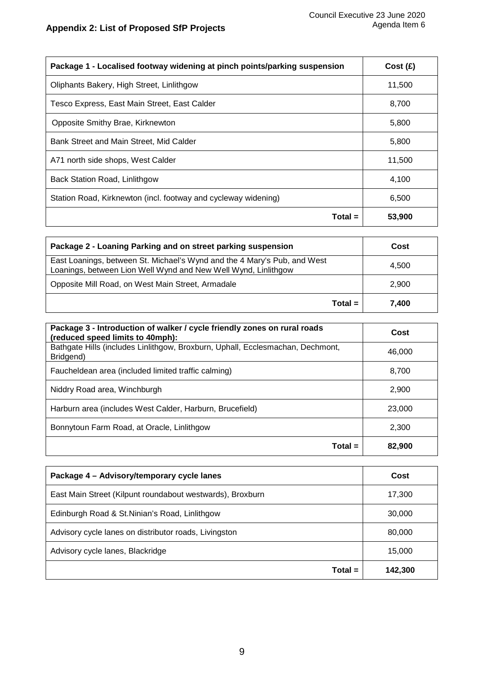| Package 1 - Localised footway widening at pinch points/parking suspension | Cost(f) |
|---------------------------------------------------------------------------|---------|
| Oliphants Bakery, High Street, Linlithgow                                 | 11,500  |
| Tesco Express, East Main Street, East Calder                              | 8,700   |
| Opposite Smithy Brae, Kirknewton                                          | 5,800   |
| Bank Street and Main Street, Mid Calder                                   | 5,800   |
| A71 north side shops, West Calder                                         | 11,500  |
| Back Station Road, Linlithgow                                             | 4,100   |
| Station Road, Kirknewton (incl. footway and cycleway widening)            | 6,500   |
| Total =                                                                   | 53,900  |

| Package 2 - Loaning Parking and on street parking suspension                                                                               | Cost  |
|--------------------------------------------------------------------------------------------------------------------------------------------|-------|
| East Loanings, between St. Michael's Wynd and the 4 Mary's Pub, and West<br>Loanings, between Lion Well Wynd and New Well Wynd, Linlithgow | 4.500 |
| Opposite Mill Road, on West Main Street, Armadale                                                                                          | 2.900 |
| $Total =$                                                                                                                                  | 7.400 |

| Package 3 - Introduction of walker / cycle friendly zones on rural roads<br>(reduced speed limits to 40mph): | Cost   |
|--------------------------------------------------------------------------------------------------------------|--------|
| Bathgate Hills (includes Linlithgow, Broxburn, Uphall, Ecclesmachan, Dechmont,<br>Bridgend)                  | 46,000 |
| Faucheldean area (included limited traffic calming)                                                          | 8.700  |
| Niddry Road area, Winchburgh                                                                                 | 2.900  |
| Harburn area (includes West Calder, Harburn, Brucefield)                                                     | 23,000 |
| Bonnytoun Farm Road, at Oracle, Linlithgow                                                                   | 2.300  |
| Total =                                                                                                      | 82,900 |

| Package 4 - Advisory/temporary cycle lanes                | Cost    |
|-----------------------------------------------------------|---------|
| East Main Street (Kilpunt roundabout westwards), Broxburn | 17,300  |
| Edinburgh Road & St. Ninian's Road, Linlithgow            | 30,000  |
| Advisory cycle lanes on distributor roads, Livingston     | 80,000  |
| Advisory cycle lanes, Blackridge                          | 15,000  |
| $Total =$                                                 | 142,300 |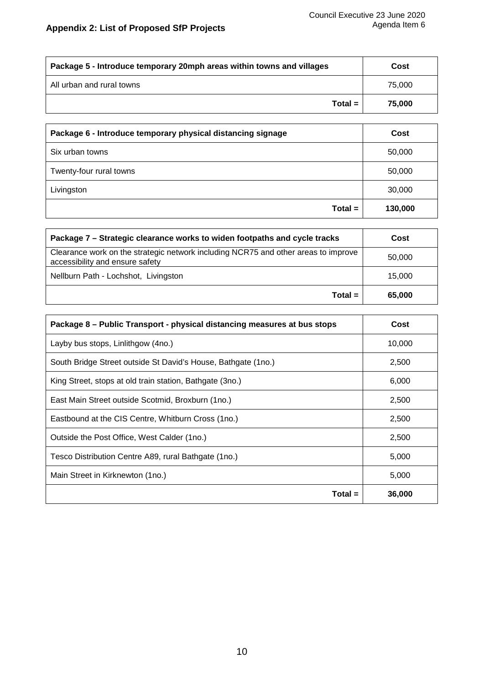| Package 5 - Introduce temporary 20mph areas within towns and villages | Cost   |
|-----------------------------------------------------------------------|--------|
| All urban and rural towns                                             | 75,000 |
| $Total =$                                                             | 75.000 |

| Package 6 - Introduce temporary physical distancing signage | Cost    |
|-------------------------------------------------------------|---------|
| Six urban towns                                             | 50,000  |
| Twenty-four rural towns                                     | 50,000  |
| Livingston                                                  | 30,000  |
| $Total =$                                                   | 130,000 |

| Package 7 – Strategic clearance works to widen footpaths and cycle tracks                                             | Cost   |
|-----------------------------------------------------------------------------------------------------------------------|--------|
| Clearance work on the strategic network including NCR75 and other areas to improve<br>accessibility and ensure safety | 50,000 |
| Nellburn Path - Lochshot, Livingston                                                                                  | 15.000 |
| $Total =$                                                                                                             | 65,000 |

| Package 8 – Public Transport - physical distancing measures at bus stops | Cost   |
|--------------------------------------------------------------------------|--------|
| Layby bus stops, Linlithgow (4no.)                                       | 10,000 |
| South Bridge Street outside St David's House, Bathgate (1no.)            | 2,500  |
| King Street, stops at old train station, Bathgate (3no.)                 | 6,000  |
| East Main Street outside Scotmid, Broxburn (1no.)                        | 2,500  |
| Eastbound at the CIS Centre, Whitburn Cross (1no.)                       | 2,500  |
| Outside the Post Office, West Calder (1no.)                              | 2,500  |
| Tesco Distribution Centre A89, rural Bathgate (1no.)                     | 5,000  |
| Main Street in Kirknewton (1no.)                                         | 5,000  |
| $Total =$                                                                | 36,000 |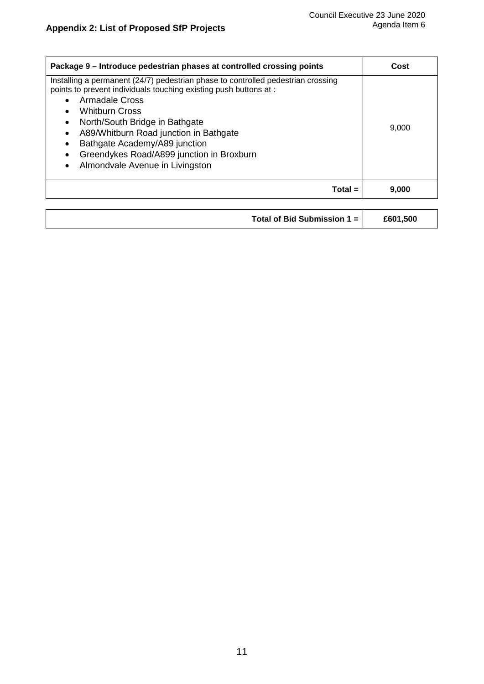| Package 9 – Introduce pedestrian phases at controlled crossing points                                                                                                                                                                                                                                                                                                                                                                | Cost  |
|--------------------------------------------------------------------------------------------------------------------------------------------------------------------------------------------------------------------------------------------------------------------------------------------------------------------------------------------------------------------------------------------------------------------------------------|-------|
| Installing a permanent (24/7) pedestrian phase to controlled pedestrian crossing<br>points to prevent individuals touching existing push buttons at :<br>Armadale Cross<br><b>Whitburn Cross</b><br>North/South Bridge in Bathgate<br>$\bullet$<br>A89/Whitburn Road junction in Bathgate<br>$\bullet$<br>Bathgate Academy/A89 junction<br>Greendykes Road/A899 junction in Broxburn<br>Almondvale Avenue in Livingston<br>$\bullet$ | 9.000 |
| $Total =$                                                                                                                                                                                                                                                                                                                                                                                                                            | 9.000 |
|                                                                                                                                                                                                                                                                                                                                                                                                                                      |       |